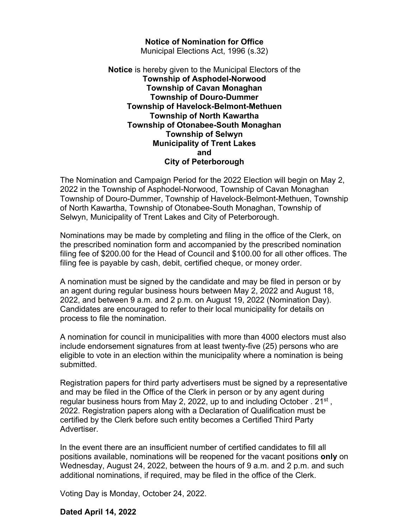## **Notice of Nomination for Office**

Municipal Elections Act, 1996 (s.32)

## **Notice** is hereby given to the Municipal Electors of the **Township of Asphodel-Norwood Township of Cavan Monaghan Township of Douro-Dummer Township of Havelock-Belmont-Methuen Township of North Kawartha Township of Otonabee-South Monaghan Township of Selwyn Municipality of Trent Lakes and City of Peterborough**

The Nomination and Campaign Period for the 2022 Election will begin on May 2, 2022 in the Township of Asphodel-Norwood, Township of Cavan Monaghan Township of Douro-Dummer, Township of Havelock-Belmont-Methuen, Township of North Kawartha, Township of Otonabee-South Monaghan, Township of Selwyn, Municipality of Trent Lakes and City of Peterborough.

Nominations may be made by completing and filing in the office of the Clerk, on the prescribed nomination form and accompanied by the prescribed nomination filing fee of \$200.00 for the Head of Council and \$100.00 for all other offices. The filing fee is payable by cash, debit, certified cheque, or money order.

A nomination must be signed by the candidate and may be filed in person or by an agent during regular business hours between May 2, 2022 and August 18, 2022, and between 9 a.m. and 2 p.m. on August 19, 2022 (Nomination Day). Candidates are encouraged to refer to their local municipality for details on process to file the nomination.

A nomination for council in municipalities with more than 4000 electors must also include endorsement signatures from at least twenty-five (25) persons who are eligible to vote in an election within the municipality where a nomination is being submitted.

Registration papers for third party advertisers must be signed by a representative and may be filed in the Office of the Clerk in person or by any agent during regular business hours from May 2, 2022, up to and including October .  $21^{st}$ , 2022. Registration papers along with a Declaration of Qualification must be certified by the Clerk before such entity becomes a Certified Third Party Advertiser.

In the event there are an insufficient number of certified candidates to fill all positions available, nominations will be reopened for the vacant positions **only** on Wednesday, August 24, 2022, between the hours of 9 a.m. and 2 p.m. and such additional nominations, if required, may be filed in the office of the Clerk.

Voting Day is Monday, October 24, 2022.

## **Dated April 14, 2022**